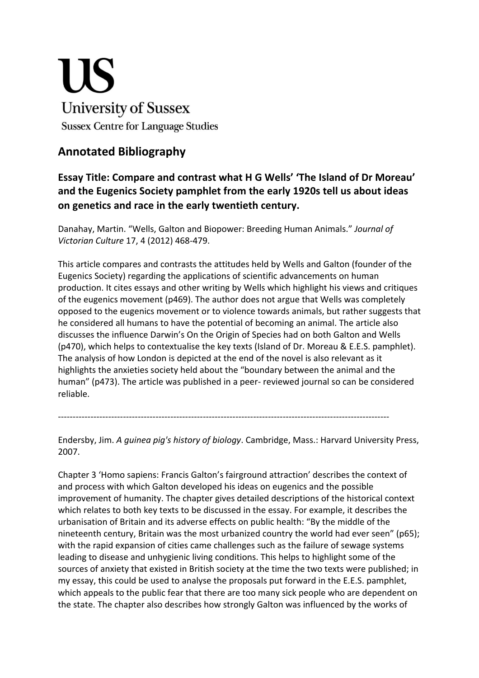## **US University of Sussex Sussex Centre for Language Studies**

## **Annotated Bibliography**

## **Essay Title: Compare and contrast what H G Wells' 'The Island of Dr Moreau' and the Eugenics Society pamphlet from the early 1920s tell us about ideas on genetics and race in the early twentieth century.**

Danahay, Martin. "Wells, Galton and Biopower: Breeding Human Animals." *Journal of Victorian Culture* 17, 4 (2012) 468-479.

This article compares and contrasts the attitudes held by Wells and Galton (founder of the Eugenics Society) regarding the applications of scientific advancements on human production. It cites essays and other writing by Wells which highlight his views and critiques of the eugenics movement (p469). The author does not argue that Wells was completely opposed to the eugenics movement or to violence towards animals, but rather suggests that he considered all humans to have the potential of becoming an animal. The article also discusses the influence Darwin's On the Origin of Species had on both Galton and Wells (p470), which helps to contextualise the key texts (Island of Dr. Moreau & E.E.S. pamphlet). The analysis of how London is depicted at the end of the novel is also relevant as it highlights the anxieties society held about the "boundary between the animal and the human" (p473). The article was published in a peer- reviewed journal so can be considered reliable.

Endersby, Jim. *A guinea pig's history of biology*. Cambridge, Mass.: Harvard University Press, 2007.

----------------------------------------------------------------------------------------------------------------

Chapter 3 'Homo sapiens: Francis Galton's fairground attraction' describes the context of and process with which Galton developed his ideas on eugenics and the possible improvement of humanity. The chapter gives detailed descriptions of the historical context which relates to both key texts to be discussed in the essay. For example, it describes the urbanisation of Britain and its adverse effects on public health: "By the middle of the nineteenth century, Britain was the most urbanized country the world had ever seen" (p65); with the rapid expansion of cities came challenges such as the failure of sewage systems leading to disease and unhygienic living conditions. This helps to highlight some of the sources of anxiety that existed in British society at the time the two texts were published; in my essay, this could be used to analyse the proposals put forward in the E.E.S. pamphlet, which appeals to the public fear that there are too many sick people who are dependent on the state. The chapter also describes how strongly Galton was influenced by the works of